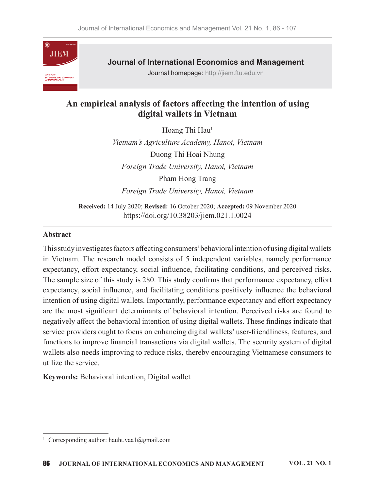

**Journal of International Economics and Management** 

Journal homepage: http://jiem.ftu.edu.vn

# An empirical analysis of factors affecting the intention of using digital wallets in Vietnam

Hoang Thi Hau<sup>1</sup>

Vietnam's Agriculture Academy, Hanoi, Vietnam Duong Thi Hoai Nhung Foreign Trade University, Hanoi, Vietnam Pham Hong Trang Foreign Trade University, Hanoi, Vietnam

Received: 14 July 2020; Revised: 16 October 2020; Accepted: 09 November 2020 https://doi.org/10.38203/jiem.021.1.0024

#### **Abstract**

This study investigates factors affecting consumers' behavioral intention of using digital wallets in Vietnam. The research model consists of 5 independent variables, namely performance expectancy, effort expectancy, social influence, facilitating conditions, and perceived risks. The sample size of this study is 280. This study confirms that performance expectancy, effort expectancy, social influence, and facilitating conditions positively influence the behavioral intention of using digital wallets. Importantly, performance expectancy and effort expectancy are the most significant determinants of behavioral intention. Perceived risks are found to negatively affect the behavioral intention of using digital wallets. These findings indicate that service providers ought to focus on enhancing digital wallets' user-friendliness, features, and functions to improve financial transactions via digital wallets. The security system of digital wallets also needs improving to reduce risks, thereby encouraging Vietnamese consumers to utilize the service.

Keywords: Behavioral intention, Digital wallet

<sup>&</sup>lt;sup>1</sup> Corresponding author: hauht.vaa1@gmail.com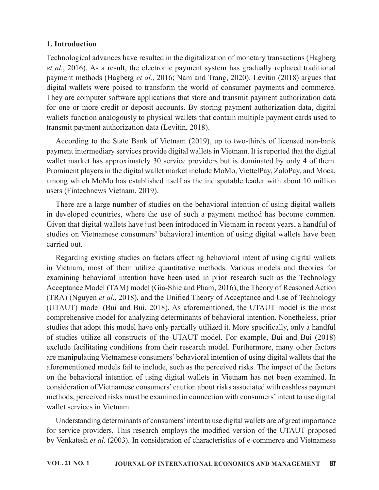### 1. Introduction

Technological advances have resulted in the digitalization of monetary transactions (Hagberg  $et al., 2016$ ). As a result, the electronic payment system has gradually replaced traditional payment methods (Hagberg *et al.*, 2016; Nam and Trang, 2020). Levitin (2018) argues that **1. Introduction**<br>Get *al.*, 2016). As a result, the electronic payment system has gradually replaced traditional<br>payment methods (Hagberg *et al.*, 2016; Nam and Trang, 2020). Levitin (2018) argues that<br>digital wallets we for one or more credit or deposit accounts. By storing payment authorization data, digital wallets function analogously to physical wallets that contain multiple payment cards used to transmit payment authorization data (Levitin, 2018).

According to the State Bank of Vietnam (2019), up to two-thirds of licensed non-bank payment intermediary services provide digital wallets in Vietnam. It is reported that the digital wallet market has approximately 30 service providers but is dominated by only 4 of them. Prominent players in the digital wallet market include MoMo, ViettelPay, ZaloPay, and Moca, among which MoMo has established itself as the indisputable leader with about 10 million users (Fintechnews Vietnam, 2019).

There are a large number of studies on the behavioral intention of using digital wallets in developed countries, where the use of such a payment method has become common. Given that digital wallets have just been introduced in Vietnam in recent years, a handful of studies on Vietnamese consumers' behavioral intention of using digital wallets have been carried out.

Regarding existing studies on factors affecting behavioral intent of using digital wallets in Vietnam, most of them utilize quantitative methods. Various models and theories for transmit payment authorization data (Levitin, 2018).<br>According to the State Bank of Vietnam (2019), up to two-thirds of licensed non-bank<br>payment intermediary services provide digital wallets wallet market has approximatel Acceptance Model (TAM) model (Gia-Shie and Pham, 2016), the Theory of Reasoned Action (TRA) (Nguyen et al., 2018), and the Unified Theory of Acceptance and Use of Technology (UTAUT) model (Bui and Bui, 2018). As aforementioned, the UTAUT model is the most comprehensive model for analyzing determinants of behavioral intention. Nonetheless, prior studies that adopt this model have only partially utilized it. More specifically, only a handful of studies utilize all constructs of the UTAUT model. For example,Bui and Bui (2018) exclude facilitating conditions from their research model. Furthermore, many other factors are manipulating Vietnamese consumers' behavioral intention of using digital wallets that the aforementioned models fail to include, such as the perceived risks. The impact of the factors Given that digital wallets have just been introduced in Vietnam in recent years, a handlul of<br>studies on Vietnamese consumers' behavioral intention of using digital wallets have been<br>carried out.<br>Regarding existing studies consideration of Vietnamese consumers' caution about risks associated with cashless payment methods, perceived risks must be examined in connection with consumers'intent to use digital wallet services in Vietnam.

Understanding determinants of consumers' intent to use digital wallets are of great importance for service providers. This research employs the modified version of the UTAUT proposed by Venkatesh et al. (2003). In consideration of characteristics of e-commerce and Vietnamese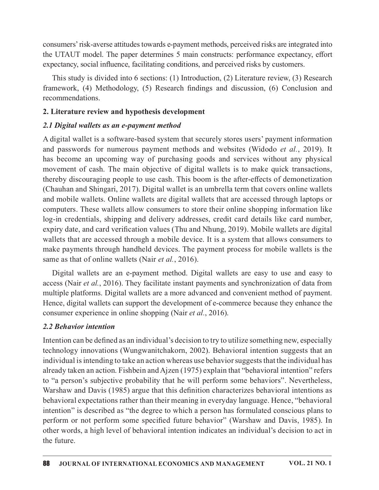consumers' risk-averse attitudes towards e-payment methods, perceived risks are integrated into the UTAUT model. The paper determines 5 main constructs: performance expectancy, effort expectancy, social influence, facilitating conditions, and perceived risks by customers.

This study is divided into 6 sections: (1) Introduction, (2) Literature review, (3) Research consumers' risk-averse attitudes towards e-payment methods, perceived risks are integrated into the UTAUT model. The paper determines 5 main constructs: performance expectancy, effort expectancy, social influence, facilita recommendations.

### 2. Literature review and hypothesis development

### 2.1 Digital wallets as an e-payment method

A digital wallet is a software-based system that securely stores users' payment information and passwords for numerous payment methods and websites (Widodo *et al.*, 2019). It consumers' risk-averse attitudes towards e-payment methods, perceived risks are integrated into the UTAUT model. The paper determines 5 main constructs: performance expectancy, effort expectancy, social influence, facilita movement of cash. The main objective of digital wallets is to make quick transactions, thereby discouraging people to use cash. This boom is the after-effects of demonetization (Chauhan and Shingari, 2017). Digital wallet is an umbrella term that covers online wallets and mobile wallets. Online wallets are digital wallets that are accessed through laptops or computers. These wallets allow consumers to store their online shopping information like log-in credentials, shipping and delivery addresses, credit card details like card number, expiry date, and card verification values (Thu and Nhung, 2019). Mobile wallets are digital wallets that are accessed through a mobile device. It is a system that allows consumers to make payments through handheld devices. The payment process for mobile wallets is the same as that of online wallets (Nair *et al.*, 2016). **Digital wallets as an e-payment method**<br>
ligital wallet is a software-based system that securely stores users' payment information<br>
1 passwords for numerous payment methods and websites (Widodo et al., 2019). It<br>
become

access (Nair et al., 2016). They facilitate instant payments and synchronization of data from multiple platforms. Digital wallets are a more advanced and convenient method of payment. Hence, digital wallets can support the development of e-commerce because they enhance the consumer experience in online shopping (Nair *et al.*, 2016).

# 2.2 Behavior intention

Intention can be defined as an individual's decision to try to utilize something new, especially technology innovations (Wungwanitchakorn, 2002). Behavioral intention suggests that an individual is intending to take an action whereas use behavior suggests that the individual has already taken an action. Fishbein and Ajzen (1975) explain that "behavioral intention" refers to "a person's subjective probability that he will perform some behaviors". Nevertheless, Warshaw and Davis (1985) argue that this definition characterizes behavioral intentions as behavioral expectations rather than their meaning in everyday language. Hence, "behavioral intention" is described as "the degree to which a person has formulated conscious plans to perform or not perform some specified future behavior" (Warshaw and Davis, 1985). In other words, a high level of behavioral intention indicates an individual's decision to act in the future.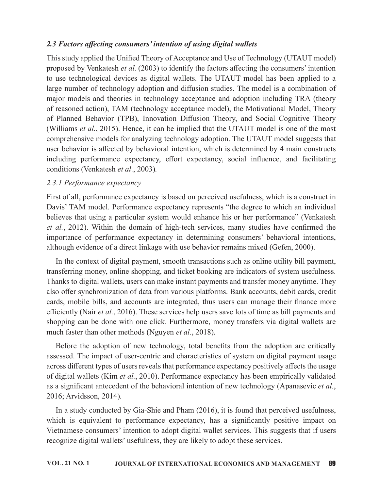### 2.3 Factors affecting consumers' intention of using digital wallets

This study applied the Unified Theory of Acceptance and Use of Technology (UTAUT model) proposed by Venkatesh et al.  $(2003)$  to identify the factors affecting the consumers' intention 2.3 *Factors affecting consumers' intention of using digital wallets*<br>This study applied the Unified Theory of Acceptance and Use of Technology (UTAUT model)<br>proposed by Venkatesh *et al.* (2003) to identify the factors af large number of technology adoption and diffusion studies. The model is a combination of 2.3 Factors affecting consumers' intention of using digital wallets<br>This study applied the Unified Theory of Acceptance and Use of Technology (UTAUT model)<br>proposed by Venkatesh et al. (2003) to identify the factors affec of reasoned action), TAM (technology acceptance model), the Motivational Model, Theory of Planned Behavior (TPB), Innovation Diffusion Theory, and Social Cognitive Theory (Williams *et al.*, 2015). Hence, it can be implied that the UTAUT model is one of the most comprehensive models for analyzing technology adoption. The UTAUT model suggests that user behavior is affected by behavioral intention, which is determined by 4 main constructs including performance expectancy, effort expectancy, social influence, and facilitating conditions (Venkatesh et al., 2003). proposed by Venkatesh *et al.* (2003) to identify the factors affecting the consumers' intention<br>to use technological devices as digital wallets. The UTAUT model has been applied to a<br>harge number of technology adoption an

### 2.3.1 Performance expectancy

First of all, performance expectancy is based on perceived usefulness, which is a construct in Davis' TAM model. Performance expectancy represents "the degree to which an individual *et al.*, 2012). Within the domain of high-tech services, many studies have confirmed the importance of performance expectancy in determining consumers' behavioral intentions, although evidence of a direct linkage with use behavior remains mixed (Gefen, 2000).

In the context of digital payment, smooth transactions such as online utility bill payment, transferring money, online shopping, and ticket booking are indicators of system usefulness. Thanks to digital wallets, users can make instant payments and transfer money anytime. They also offer synchronization of data from various platforms. Bank accounts, debit cards, credit cards, mobile bills, and accounts are integrated, thus users can manage their finance more efficiently (Nair et al., 2016). These services help users save lots of time as bill payments and shopping can be done with one click. Furthermore, money transfers via digital wallets are much faster than other methods (Nguyen *et al.*, 2018).

Before the adoption of new technology, total benefits from the adoption are critically assessed. The impact of user-centric and characteristics of system on digital payment usage across different types of users reveals that performance expectancy positively affects the usage of digital wallets (Kim et al., 2010). Performance expectancy has been empirically validated as a significant antecedent of the behavioral intention of new technology (Apanasevic et al., 2016; Arvidsson, 2014).

In a study conducted by Gia-Shie and Pham (2016), it is found that perceived usefulness, which is equivalent to performance expectancy, has a significantly positive impact on Vietnamese consumers' intention to adopt digital wallet services. This suggests that if users recognize digital wallets' usefulness, they are likely to adopt these services.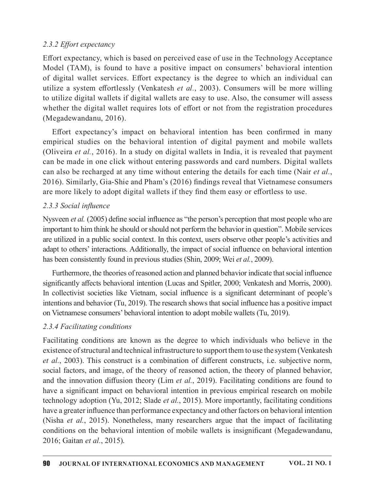### 2.3.2 Effort expectancy

Effort expectancy, which is based on perceived ease of use in the Technology Acceptance Model (TAM), is found to have a positive impact on consumers' behavioral intention of digital wallet services. Effort expectancy is the degree to which an individual can utilize a system effortlessly (Venkatesh et al., 2003). Consumers will be more willing to utilize digital wallets if digital wallets are easy to use. Also, the consumer will assess whether the digital wallet requires lots of effort or not from the registration procedures (Megadewandanu, 2016). 2.3.2 *Effort expectancy* which is based on perceived ease of use in the Technology Acceptance Model (TAM), is found to have a positive impact on consumers' behavioral intention of digital vallet services. Effort expectan

Effort expectancy's impact on behavioral intention has been confirmed in many (Oliveira *et al.*, 2016). In a study on digital wallets in India, it is revealed that payment can be made in one click without entering passwords and card numbers. Digital wallets can also be recharged at any time without entering the details for each time (Nair et al., 2016). Similarly, Gia-Shie and Pham's (2016) findings reveal that Vietnamese consumers are more likely to adopt digital wallets if they find them easy or effortless to use.

# 2.3.3 Social influence

Nysveen *et al.* (2005) define social influence as "the person's perception that most people who are important to him think he should or should not perform the behavior in question". Mobile services are utilized in a public social context. In this context, users observe other people's activities and adapt to others' interactions. Additionally, the impact of social influence on behavioral intention has been consistently found in previous studies (Shin, 2009; Wei et al., 2009).

Furthermore, the theories of reasoned action and planned behavior indicate that social influence significantly affects behavioral intention (Lucas and Spitler, 2000; Venkatesh and Morris, 2000). In collectivist societies like Vietnam, social influence is a significant determinant of people's intentions and behavior (Tu, 2019). The research shows that social influence has a positive impact on Vietnamese consumers' behavioral intention to adopt mobile wallets (Tu, 2019).

# 2.3.4 Facilitating conditions

are more likely to adopt digital wallets if they find them easy or effortless to use.<br>
2.3.3 Social influence<br>
Nysveen et al. (2005) define social influence as "the person's perception that most people who are<br>
important existence of structural and technical infrastructure to support them to use the system (Venkatesh *et al.*, 2003). This construct is a combination of different constructs, i.e. subjective norm, social factors, and image, of the theory of reasoned action, the theory of planned behavior, and the innovation diffusion theory (Lim  $et$  al., 2019). Facilitating conditions are found to have a significant impact on behavioral intention in previous empirical research on mobile technology adoption (Yu, 2012; Slade et al., 2015). More importantly, facilitating conditions have a greater influence than performance expectancy and other factors on behavioral intention (Nisha et al., 2015). Nonetheless, many researchers argue that the impact of facilitating conditions on the behavioral intention of mobile wallets is insignificant (Megadewandanu, 2016; Gaitan et al., 2015).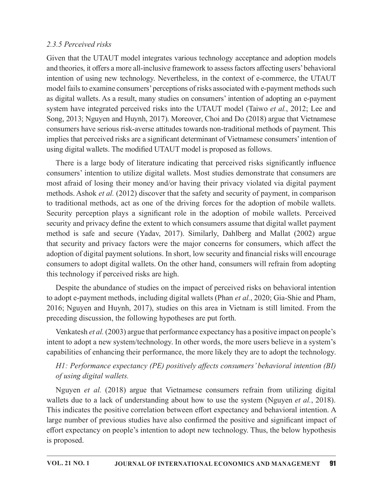### 2.3.5 Perceived risks

Given that the UTAUT model integrates various technology acceptance and adoption models and theories, it offers a more all-inclusive framework to assess factors affecting users' behavioral intention of using new technology. Nevertheless, in the context of e-commerce, the UTAUT model fails to examine consumers' perceptions of risks associated with e-payment methods such as digital wallets. As a result, many studies on consumers' intention of adopting an e-payment 2.3.5 Perceived risks<br>Given that the UTAUT model integrates various technology acceptance and adoption models<br>and theories, it offers a more all-inclusive framework to assess factors affecting users' behavioral<br>intention o Song, 2013; Nguyen and Huynh, 2017). Moreover, Choi and Do (2018) argue that Vietnamese consumers have serious risk-averse attitudes towards non-traditional methods of payment. This implies that perceived risks are a significant determinant of Vietnamese consumers' intention of using digital wallets. The modified UTAUT model is proposed as follows.

There is a large body of literature indicating that perceived risks significantly influence consumers' intention to utilize digital wallets. Most studies demonstrate that consumers are most afraid of losing their money and/or having their privacy violated via digital payment methods. Ashok *et al.* (2012) discover that the safety and security of payment, in comparison to traditional methods, act as one of the driving forces for the adoption of mobile wallets. Security perception plays a significant role in the adoption of mobile wallets. Perceived security and privacy define the extent to which consumers assume that digital wallet payment method is safe and secure (Yadav, 2017). Similarly, Dahlberg and Mallat (2002) argue that security and privacy factors were the major concerns for consumers, which affect the adoption of digital payment solutions. In short, low security and financial risks will encourage consumers to adopt digital wallets. On the other hand, consumers will refrain from adopting this technology if perceived risks are high.

Despite the abundance of studies on the impact of perceived risks on behavioral intention to adopt e-payment methods, including digital wallets (Phan et al., 2020; Gia-Shie and Pham, 2016; Nguyen and Huynh, 2017), studies on this area in Vietnam is still limited. From the preceding discussion, the following hypotheses are put forth.

Venkatesh et al. (2003) argue that performance expectancy has a positive impact on people's intent to adopt a new system/technology. In other words, the more users believe in a system's capabilities of enhancing their performance, the more likely they are to adopt the technology.

# $H1$ : Performance expectancy (PE) positively affects consumers' behavioral intention (BI) of using digital wallets.

1 security and privacy factors were the major concerns for consumers, which affect the pption of digital payment solutions. In short, low security and financial risks will encourage baseners to dedot digital wallets. On t wallets due to a lack of understanding about how to use the system (Nguyen *et al.*, 2018). This indicates the positive correlation between effort expectancy and behavioral intention. A large number of previous studies have also confirmed the positive and significant impact of effort expectancy on people's intention to adopt new technology. Thus, the below hypothesis is proposed.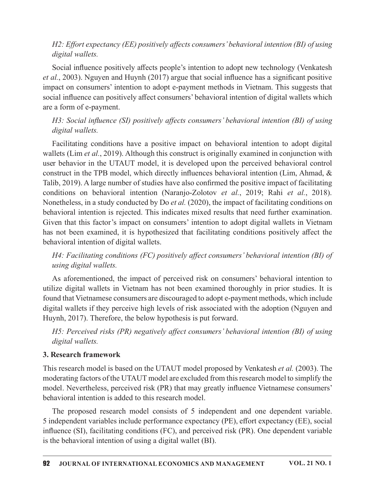### H2: Effort expectancy (EE) positively affects consumers' behavioral intention (BI) of using digital wallets.

Social influence positively affects people's intention to adopt new technology (Venkatesh et al., 2003). Nguyen and Huynh (2017) argue that social influence has a significant positive impact on consumers' intention to adopt e-payment methods in Vietnam. This suggests that social influence can positively affect consumers' behavioral intention of digital wallets which are a form of e-payment.

# H3: Social influence (SI) positively affects consumers' behavioral intention (BI) of using digital wallets.

Facilitating conditions have a positive impact on behavioral intention to adopt digital wallets (Lim et al., 2019). Although this construct is originally examined in conjunction with user behavior in the UTAUT model, it is developed upon the perceived behavioral control construct in the TPB model, which directly influences behavioral intention (Lim, Ahmad, & Talib, 2019). A large number of studies have also confirmed the positive impact of facilitating conditions on behavioral intention (Naranjo-Zolotov et al., 2019; Rahi et al., 2018). Nonetheless, in a study conducted by Do et al. (2020), the impact of facilitating conditions on behavioral intention is rejected. This indicates mixed results that need further examination. Given that this factor's impact on consumers' intention to adopt digital wallets in Vietnam has not been examined, it is hypothesized that facilitating conditions positively affect the behavioral intention of digital wallets.

H4: Facilitating conditions (FC) positively affect consumers' behavioral intention (BI) of using digital wallets.

As aforementioned, the impact of perceived risk on consumers' behavioral intention to utilize digital wallets in Vietnam has not been examined thoroughly in prior studies. It is found that Vietnamese consumers are discouraged to adopt e-payment methods, which include digital wallets if they perceive high levels of risk associated with the adoption (Nguyen and Huynh, 2017). Therefore, the below hypothesis is put forward.

H5: Perceived risks (PR) negatively affect consumers' behavioral intention (BI) of using digital wallets.

### **3. Research framework**

This research model is based on the UTAUT model proposed by Venkatesh et al. (2003). The moderating factors of the UTAUT model are excluded from this research model to simplify the model. Nevertheless, perceived risk (PR) that may greatly influence Vietnamese consumers' behavioral intention is added to this research model.

The proposed research model consists of 5 independent and one dependent variable. 5 independent variables include performance expectancy (PE), effort expectancy (EE), social influence (SI), facilitating conditions (FC), and perceived risk (PR). One dependent variable is the behavioral intention of using a digital wallet (BI).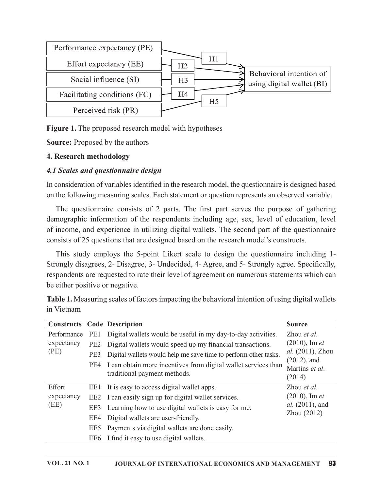

**Figure 1.** The proposed research model with hypotheses

**Source:** Proposed by the authors

#### 4. Research methodology

#### 4.1 Scales and questionnaire design

In consideration of variables identified in the research model, the questionnaire is designed based on the following measuring scales. Each statement or question represents an observed variable.

demographic information of the respondents including age, sex, level of education, level of income, and experience in utilizing digital wallets. The second part of the questionnaire consists of 25 questions that are designed based on the research model's constructs.

This study employs the 5-point Likert scale to design the questionnaire including 1- Strongly disagrees, 2- Disagree, 3- Undecided, 4- Agree, and 5- Strongly agree. Specifically, respondents are requested to rate their level of agreement on numerous statements which can be either positive or negative.

At inconsideration of variation and plastic included in the research model, the questionmaire is designed based<br>on the following measuring scales. Each statement or question represents an observed variable.<br>The questionna Performance PE1 Digital wallets would be useful in my day-to-day activities. Zhou *et al*. expectancy PE2 Digital wallets would speed up my financial transactions. (PE) PE3 Digital wallets would help me save time to perform other tasks.  $al. (2011)$ , Zho  $(2010)$ , Im et al. (2011), Zhou (2012), and Martins et al. (2014) mg measuring scales. Each statement or question represents an observed variationnaire consists of 2 parts. The first part serves the purpose of gath<br>information of the respondents including age, sex, level of education,<br>d PE4 I can obtain more incentives from digital wallet services than traditional payment methods. Effort EE1 It is easy to access digital wallet apps. expectancy EE2 I can easily sign up for digital wallet services. (EE) EE3 Learning how to use digital wallets is easy for me. questions that are designed based on the research model's constructs.<br>  $\nu$  employs the 5-point Likert scale to design the questionnaire including 1-<br>
grees, 2- Disagree, 3- Undecided, 4- Agree, and 5- Strongly agree. Spe  $al. (2011)$ , and  $Zhou(2012)$ % employs the 5-point Likert scale to design the questionnaire inclused and the express (2- Disagree, 3- Undecided, 4- Agree, and 5- Strongly agree. Spectrom express the metal of agreement on numerous statements where the The requested to rate their level of agreement on numerous statements wive or negative.<br>
Suring scales of factors impacting the behavioral intention of using digita<br>
Code Description<br>
DE1 Digital wallets would be useful i tive or negative.<br>
suring scales of factors impacting the behavioral intention of using digita<br>
Code Description Source<br>
PE1 Digital wallets would be useful in my day-to-day activities. Zhou *et*<br>
PE2 Digital wallets woul

Table 1. Measuring scales of factors impacting the behavioral intention of using digital wallets in Vietnam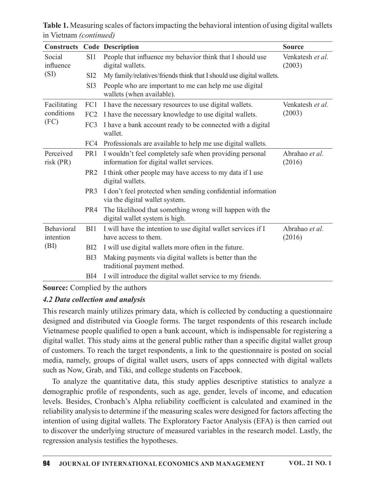Table 1. Measuring scales of factors impacting the behavioral intention of using digital wallets in Vietnam (continued)

| <b>Constructs</b>               |                 | <b>Code Description</b>                                                                             | <b>Source</b>              |
|---------------------------------|-----------------|-----------------------------------------------------------------------------------------------------|----------------------------|
| Social<br>influence             | SI1             | People that influence my behavior think that I should use<br>digital wallets.                       | Venkatesh et al.<br>(2003) |
| (SI)                            | SI <sub>2</sub> | My family/relatives/friends think that I should use digital wallets.                                |                            |
|                                 | SI3             | People who are important to me can help me use digital<br>wallets (when available).                 |                            |
| Facilitating                    | FC1             | I have the necessary resources to use digital wallets.                                              | Venkatesh et al.<br>(2003) |
| conditions                      | FC2             | I have the necessary knowledge to use digital wallets.                                              |                            |
| (FC)                            | FC3             | I have a bank account ready to be connected with a digital<br>wallet.                               |                            |
|                                 | FC4             | Professionals are available to help me use digital wallets.                                         |                            |
| Perceived<br>$risk$ (PR)        | PR <sub>1</sub> | I wouldn't feel completely safe when providing personal<br>information for digital wallet services. | Abrahao et al.<br>(2016)   |
|                                 | PR <sub>2</sub> | I think other people may have access to my data if I use<br>digital wallets.                        |                            |
|                                 | PR <sub>3</sub> | I don't feel protected when sending confidential information<br>via the digital wallet system.      |                            |
|                                 | PR4             | The likelihood that something wrong will happen with the<br>digital wallet system is high.          |                            |
| Behavioral<br>intention<br>(BI) | BI1             | I will have the intention to use digital wallet services if I<br>have access to them.               | Abrahao et al.<br>(2016)   |
|                                 | BI2             | I will use digital wallets more often in the future.                                                |                            |
|                                 | BI3             | Making payments via digital wallets is better than the<br>traditional payment method.               |                            |
|                                 | BI4             | I will introduce the digital wallet service to my friends.                                          |                            |

**Source:** Complied by the authors

### 4.2 Data collection and analysis

This research mainly utilizes primary data, which is collected by conducting a questionnaire designed and distributed via Google forms. The target respondents of this research include Vietnamese people qualified to open a bank account, which is indispensable for registering a digital wallet. This study aims at the general public rather than a specific digital wallet group of customers. To reach the target respondents, a link to the questionnaire is posted on social media, namely, groups of digital wallet users, users of apps connected with digital wallets such as Now, Grab, and Tiki, and college students on Facebook.

To analyze the quantitative data, this study applies descriptive statistics to analyze a demographic profile of respondents, such as age, gender, levels of income, and education levels. Besides, Cronbach's Alpha reliability coefficient is calculated and examined in the reliability analysis to determine if the measuring scales were designed for factors affecting the intention of using digital wallets. The Exploratory Factor Analysis (EFA) is then carried out to discover the underlying structure of measured variables in the research model. Lastly, the regression analysis testifies the hypotheses.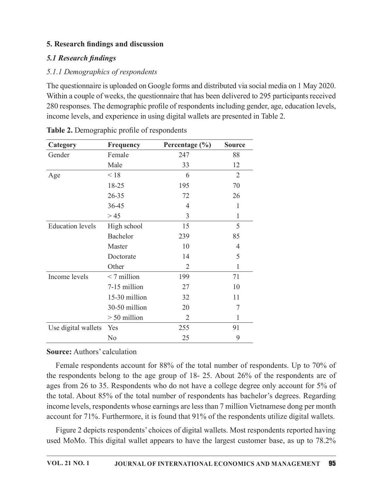#### 5. Research findings and discussion

#### 5.1 Research findings

### 5.1.1 Demographics of respondents

| 5. Research findings and discussion         |                |                                                                                                                                                                                                                                                                                                                                                                                         |                |
|---------------------------------------------|----------------|-----------------------------------------------------------------------------------------------------------------------------------------------------------------------------------------------------------------------------------------------------------------------------------------------------------------------------------------------------------------------------------------|----------------|
| <b>5.1 Research findings</b>                |                |                                                                                                                                                                                                                                                                                                                                                                                         |                |
| 5.1.1 Demographics of respondents           |                |                                                                                                                                                                                                                                                                                                                                                                                         |                |
|                                             |                | The questionnaire is uploaded on Google forms and distributed via social media on 1 May 2020.<br>Within a couple of weeks, the questionnaire that has been delivered to 295 participants received<br>280 responses. The demographic profile of respondents including gender, age, education levels,<br>income levels, and experience in using digital wallets are presented in Table 2. |                |
| Table 2. Demographic profile of respondents |                |                                                                                                                                                                                                                                                                                                                                                                                         |                |
| Category                                    | Frequency      | Percentage (%)                                                                                                                                                                                                                                                                                                                                                                          | <b>Source</b>  |
| Gender                                      | Female<br>Male | 247<br>33                                                                                                                                                                                                                                                                                                                                                                               | 88<br>12       |
|                                             | < 18           | 6                                                                                                                                                                                                                                                                                                                                                                                       | $\overline{2}$ |
| Age                                         | 18-25          | 195                                                                                                                                                                                                                                                                                                                                                                                     | 70             |
|                                             | 26-35          | 72                                                                                                                                                                                                                                                                                                                                                                                      | 26             |
|                                             | 36-45          | 4                                                                                                                                                                                                                                                                                                                                                                                       | 1              |
|                                             | $>45$          | 3                                                                                                                                                                                                                                                                                                                                                                                       | $\mathbf{1}$   |
| <b>Education</b> levels                     | High school    | 15                                                                                                                                                                                                                                                                                                                                                                                      | 5              |
|                                             | Bachelor       | 239                                                                                                                                                                                                                                                                                                                                                                                     | 85             |
|                                             | Master         | 10                                                                                                                                                                                                                                                                                                                                                                                      | $\overline{4}$ |
|                                             | Doctorate      | 14                                                                                                                                                                                                                                                                                                                                                                                      | 5              |
|                                             | Other          | $\overline{2}$                                                                                                                                                                                                                                                                                                                                                                          | 1              |
| Income levels                               | $< 7$ million  | 199                                                                                                                                                                                                                                                                                                                                                                                     | 71             |
|                                             | 7-15 million   | 27                                                                                                                                                                                                                                                                                                                                                                                      | 10             |
|                                             | 15-30 million  | 32                                                                                                                                                                                                                                                                                                                                                                                      | 11             |
|                                             | 30-50 million  | 20                                                                                                                                                                                                                                                                                                                                                                                      | 7              |
|                                             | $> 50$ million | 2                                                                                                                                                                                                                                                                                                                                                                                       |                |
|                                             |                |                                                                                                                                                                                                                                                                                                                                                                                         |                |
| Use digital wallets                         | Yes            | 255                                                                                                                                                                                                                                                                                                                                                                                     | 91             |

|  | Table 2. Demographic profile of respondents |
|--|---------------------------------------------|
|--|---------------------------------------------|

### **Source:** Authors' calculation

Female respondents account for 88% of the total number of respondents. Up to 70% of the respondents belong to the age group of 18- 25. About 26% of the respondents are of ages from 26 to 35. Respondents who do not have a college degree only account for 5% of the total. About 85% of the total number of respondents has bachelor's degrees. Regarding income levels, respondents whose earnings are less than 7 million Vietnamese dong per month account for 71%. Furthermore, it is found that 91% of the respondents utilize digital wallets.

Figure 2 depicts respondents' choices of digital wallets. Most respondents reported having used MoMo. This digital wallet appears to have the largest customer base, as up to 78.2%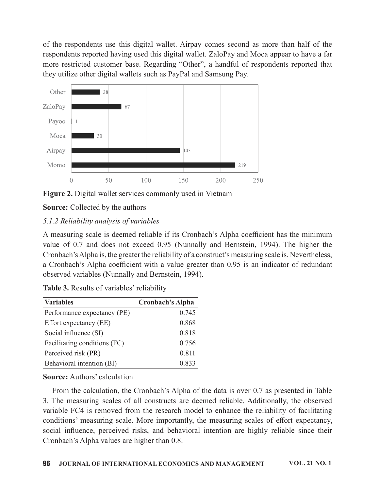of the respondents use this digital wallet. Airpay comes second as more than half of the<br>respondents reported having used this digital wallet. ZaloPay and Moca appear to have a far<br>more restricted customer base. Regarding respondents reported having used this digital wallet. ZaloPay and Moca appear to have a far more restricted customer base. Regarding "Other", a handful of respondents reported that they utilize other digital wallets such as PayPal and Samsung Pay.



Figure 2. Digital wallet services commonly used in Vietnam

**Source:** Collected by the authors

# $5.1.2$  Reliability analysis of variables

A measuring scale is deemed reliable if its Cronbach's Alpha coefficient has the minimum value of 0.7 and does not exceed 0.95 (Nunnally and Bernstein, 1994). The higher the Cronbach'sAlpha is,the greaterthe reliability of a construct's measuring scale is. Nevertheless, a Cronbach's Alpha coefficient with a value greater than 0.95 is an indicator of redundant observed variables (Nunnally and Bernstein, 1994). Mono<br>
0. 50 100 130 200 250<br> **Figure 2.** Digital wallet services commonly used in Vietnam<br> **Source:** Collected by the authors<br> **Source:** Collected by the authors<br> **Source:** Collected by the authors<br> **A** measuring scale is Figure 2. Digital wallet services commonly used in Vietnam<br>
Source: Collected by the authors<br>
Source: Collected by the authors<br>
5.1.2 Reliability analysts of variables<br>
A measuring scale is deemed reliable if its Cronbach

Table 3. Results of variables' reliability

| <b>Variables</b>             | <b>Cronbach's Alpha</b> |
|------------------------------|-------------------------|
| Performance expectancy (PE)  | 0.745                   |
| Effort expectancy (EE)       | 0.868                   |
| Social influence (SI)        | 0.818                   |
| Facilitating conditions (FC) | 0.756                   |
| Perceived risk (PR)          | 0.811                   |
| Behavioral intention (BI)    | 0.833                   |

**Source:** Authors' calculation

From the calculation, the Cronbach's Alpha of the data is over 0.7 as presented in Table 3. The measuring scales of all constructs are deemed reliable. Additionally, the observed variable FC4 is removed from the research model to enhance the reliability of facilitating conditions' measuring scale. More importantly, the measuring scales of effort expectancy, social influence, perceived risks, and behavioral intention are highly reliable since their Cronbach's Alpha values are higher than 0.8.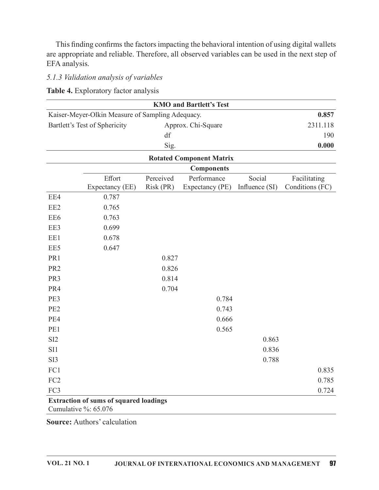This finding confirms the factors impacting the behavioral intention of using digital wallets are appropriate and reliable. Therefore, all observed variables can be used in the next step of EFA analysis.

#### 5.1.3 Validation analysis of variables

Table 4. Exploratory factor analysis

| <b>KMO</b> and Bartlett's Test                            |                                               |           |                                 |                |                 |  |  |
|-----------------------------------------------------------|-----------------------------------------------|-----------|---------------------------------|----------------|-----------------|--|--|
| Kaiser-Meyer-Olkin Measure of Sampling Adequacy.<br>0.857 |                                               |           |                                 |                |                 |  |  |
|                                                           | Bartlett's Test of Sphericity                 |           | Approx. Chi-Square              | 2311.118       |                 |  |  |
|                                                           |                                               | df        |                                 |                | 190             |  |  |
|                                                           |                                               | Sig.      |                                 |                | 0.000           |  |  |
|                                                           |                                               |           | <b>Rotated Component Matrix</b> |                |                 |  |  |
|                                                           |                                               |           |                                 |                |                 |  |  |
|                                                           | Effort                                        | Perceived | Performance                     | Social         | Facilitating    |  |  |
|                                                           | Expectancy (EE)                               | Risk (PR) | Expectancy (PE)                 | Influence (SI) | Conditions (FC) |  |  |
| EE4                                                       | 0.787                                         |           |                                 |                |                 |  |  |
| EE2                                                       | 0.765                                         |           |                                 |                |                 |  |  |
| EE <sub>6</sub>                                           | 0.763                                         |           |                                 |                |                 |  |  |
| EE3                                                       | 0.699                                         |           |                                 |                |                 |  |  |
| EE1                                                       | 0.678                                         |           |                                 |                |                 |  |  |
| EE5                                                       | 0.647                                         |           |                                 |                |                 |  |  |
| PR1                                                       |                                               | 0.827     |                                 |                |                 |  |  |
| PR <sub>2</sub>                                           |                                               | 0.826     |                                 |                |                 |  |  |
| PR3                                                       |                                               | 0.814     |                                 |                |                 |  |  |
| PR4                                                       |                                               | 0.704     |                                 |                |                 |  |  |
| PE3                                                       |                                               |           | 0.784                           |                |                 |  |  |
| PE <sub>2</sub>                                           |                                               |           | 0.743                           |                |                 |  |  |
| PE4                                                       |                                               |           | 0.666                           |                |                 |  |  |
| PE1                                                       |                                               |           | 0.565                           |                |                 |  |  |
| SI <sub>2</sub>                                           |                                               |           |                                 | 0.863          |                 |  |  |
| SI1                                                       |                                               |           |                                 | 0.836          |                 |  |  |
| SI3                                                       |                                               |           |                                 | 0.788          |                 |  |  |
| FC1                                                       |                                               |           |                                 |                | 0.835           |  |  |
| FC <sub>2</sub>                                           |                                               |           |                                 |                | 0.785           |  |  |
| FC3                                                       |                                               |           |                                 |                | 0.724           |  |  |
|                                                           | <b>Extraction of sums of squared loadings</b> |           |                                 |                |                 |  |  |

Cumulative %: 65.076

**Source: Authors' calculation**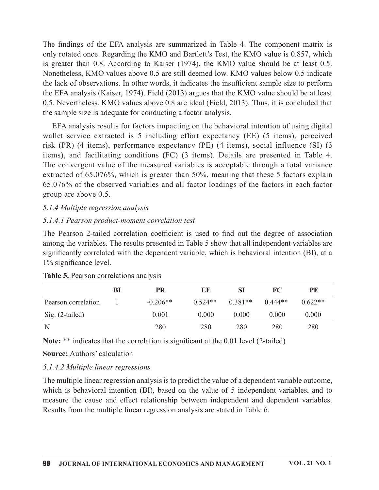The findings of the EFA analysis are summarized in Table 4. The component matrix is<br>only rotated once. Regarding the KMO and Bartlett's Test, the KMO value is 0.857, which<br>is greater than 0.8. According to Kaiser (1974), t only rotated once. Regarding the KMO and Bartlett's Test, the KMO value is 0.857, which is greater than 0.8. According to Kaiser (1974), the KMO value should be at least 0.5. Nonetheless, KMO values above 0.5 are still deemed low. KMO values below 0.5 indicate the lack of observations. In other words, it indicates the insufficient sample size to perform the EFA analysis (Kaiser, 1974). Field (2013) argues that the KMO value should be at least 0.5. Nevertheless, KMO values above 0.8 are ideal (Field, 2013). Thus, it is concluded that the sample size is adequate for conducting a factor analysis.

EFA analysis results for factors impacting on the behavioral intention of using digital wallet service extracted is 5 including effort expectancy (EE) (5 items), perceived risk (PR) (4 items), performance expectancy (PE) (4 items), social influence (SI) (3 items), and facilitating conditions (FC) (3 items). Details are presented in Table 4. The convergent value of the measured variables is acceptable through a total variance extracted of 65.076%, which is greater than 50%, meaning that these 5 factors explain 65.076% of the observed variables and all factor loadings of the factors in each factor group are above 0.5. the lack of observations. In other words, it indicates the insufficient sample size to perform<br>the EFA analysis (Kaiser, 1974). Field (2013) argues that the KMO value should be at least<br>0.5. Nevertheless, KMO values above performance expectancy (PE) (4 items), social influence (SI) (3<br>performance expectancy (PE) (4 items), social influence (SI) (3<br>and conditions (FC) (3 items). Details are presented in Table 4.<br>o, which is greater than 50% tems), and facilitating conditions (FC) (3 items). Details are presented in Table 4.<br>The convergent value of the measured variables is acceptable through a total variance<br>xtracted of 65.076%, which is greater than 50%, me

### $5.1.4$  Multiple regression analysis

### 5.1.4.1 Pearson product-moment correlation test

| The convergent value of the measured variables is acceptable through a total variance<br>extracted of 65.076%, which is greater than 50%, meaning that these 5 factors explain<br>65.076% of the observed variables and all factor loadings of the factors in each factor<br>group are above 0.5.                                                                 |    |            |           |           |           |           |  |
|-------------------------------------------------------------------------------------------------------------------------------------------------------------------------------------------------------------------------------------------------------------------------------------------------------------------------------------------------------------------|----|------------|-----------|-----------|-----------|-----------|--|
| 5.1.4 Multiple regression analysis                                                                                                                                                                                                                                                                                                                                |    |            |           |           |           |           |  |
| 5.1.4.1 Pearson product-moment correlation test                                                                                                                                                                                                                                                                                                                   |    |            |           |           |           |           |  |
| The Pearson 2-tailed correlation coefficient is used to find out the degree of association<br>among the variables. The results presented in Table 5 show that all independent variables are<br>significantly correlated with the dependent variable, which is behavioral intention (BI), at a<br>1% significance level.<br>Table 5. Pearson correlations analysis |    |            |           |           |           |           |  |
|                                                                                                                                                                                                                                                                                                                                                                   | BI | <b>PR</b>  | EE        | <b>SI</b> | FC        | PE        |  |
| Pearson correlation                                                                                                                                                                                                                                                                                                                                               |    | $-0.206**$ | $0.524**$ | $0.381**$ | $0.444**$ | $0.622**$ |  |
| Sig. (2-tailed)                                                                                                                                                                                                                                                                                                                                                   |    | 0.001      | 0.000     | 0.000     | 0.000     | 0.000     |  |
| N                                                                                                                                                                                                                                                                                                                                                                 |    | 280        | 280       | 280       | 280       | 280       |  |
| Note: ** indicates that the correlation is significant at the 0.01 level (2-tailed)                                                                                                                                                                                                                                                                               |    |            |           |           |           |           |  |
| <b>Source:</b> Authors' calculation                                                                                                                                                                                                                                                                                                                               |    |            |           |           |           |           |  |
| 5.1.4.2 Multiple linear regressions                                                                                                                                                                                                                                                                                                                               |    |            |           |           |           |           |  |
|                                                                                                                                                                                                                                                                                                                                                                   |    |            |           |           |           |           |  |

### Source: Authors' calculation

# 5.1.4.2 Multiple linear regressions

The multiple linear regression analysis is to predict the value of a dependent variable outcome, which is behavioral intention (BI), based on the value of 5 independent variables, and to measure the cause and effect relationship between independent and dependent variables. Results from the multiple linear regression analysis are stated in Table 6.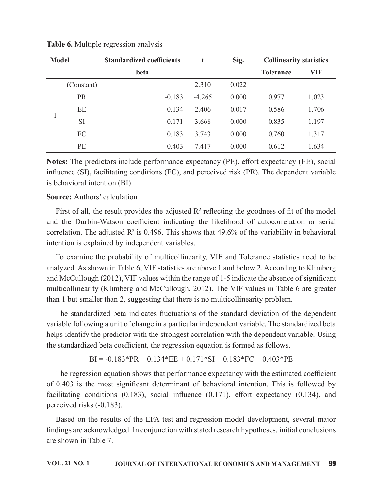| <b>Model</b> |            | <b>Standardized coefficients</b> | t        | Sig.  | <b>Collinearity statistics</b> |       |
|--------------|------------|----------------------------------|----------|-------|--------------------------------|-------|
|              |            | beta                             |          |       | <b>Tolerance</b>               | VIF   |
|              | (Constant) |                                  | 2.310    | 0.022 |                                |       |
|              | <b>PR</b>  | $-0.183$                         | $-4.265$ | 0.000 | 0.977                          | 1.023 |
|              | EE         | 0.134                            | 2.406    | 0.017 | 0.586                          | 1.706 |
|              | <b>SI</b>  | 0.171                            | 3.668    | 0.000 | 0.835                          | 1.197 |
|              | FC         | 0.183                            | 3.743    | 0.000 | 0.760                          | 1.317 |
|              | PE         | 0.403                            | 7.417    | 0.000 | 0.612                          | 1.634 |

**Table 6.** Multiple regression analysis

**Notes:** The predictors include performance expectancy (PE), effort expectancy (EE), social influence (SI), facilitating conditions (FC), and perceived risk (PR). The dependent variable is behavioral intention (BI).

### **Source: Authors' calculation**

First of all, the result provides the adjusted  $R^2$  reflecting the goodness of fit of the model and the Durbin-Watson coefficient indicating the likelihood of autocorrelation or serial correlation. The adjusted  $R^2$  is 0.496. This shows that 49.6% of the variability in behavioral intention is explained by independent variables.

To examine the probability of multicollinearity, VIF and Tolerance statistics need to be analyzed. As shown in Table 6, VIF statistics are above 1 and below 2. According to Klimberg and McCullough (2012), VIF values within the range of 1-5 indicate the absence of significant multicollinearity (Klimberg and McCullough, 2012). The VIF values in Table 6 are greater than 1 but smaller than 2, suggesting that there is no multicollinearity problem.

The standardized beta indicates fluctuations of the standard deviation of the dependent variable following a unit of change in a particular independent variable. The standardized beta helps identify the predictor with the strongest correlation with the dependent variable. Using the standardized beta coefficient, the regression equation is formed as follows.

 $BI = -0.183*PR + 0.134*EE + 0.171*SI + 0.183*FC + 0.403*PE$ 

The regression equation shows that performance expectancy with the estimated coefficient of 0.403 is the most significant determinant of behavioral intention. This is followed by facilitating conditions  $(0.183)$ , social influence  $(0.171)$ , effort expectancy  $(0.134)$ , and perceived risks (-0.183).

Based on the results of the EFA test and regression model development, several major findings are acknowledged. In conjunction with stated research hypotheses, initial conclusions are shown in Table 7.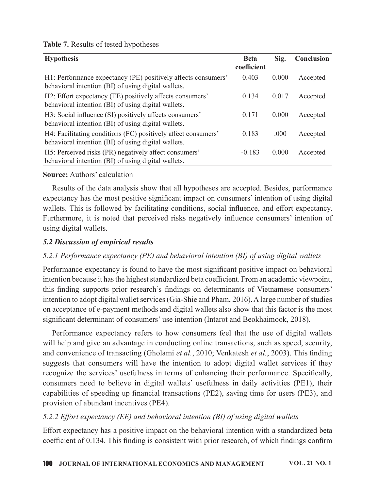| <b>Hypothesis</b>                                                                                                    | <b>Beta</b><br>coefficient | Sig.  | Conclusion |
|----------------------------------------------------------------------------------------------------------------------|----------------------------|-------|------------|
| H1: Performance expectancy (PE) positively affects consumers'<br>behavioral intention (BI) of using digital wallets. | 0.403                      | 0.000 | Accepted   |
| H2: Effort expectancy (EE) positively affects consumers'<br>behavioral intention (BI) of using digital wallets.      | 0.134                      | 0.017 | Accepted   |
| H3: Social influence (SI) positively affects consumers'<br>behavioral intention (BI) of using digital wallets.       | 0.171                      | 0.000 | Accepted   |
| H4: Facilitating conditions (FC) positively affect consumers'<br>behavioral intention (BI) of using digital wallets. | 0.183                      | .000  | Accepted   |
| H5: Perceived risks (PR) negatively affect consumers'<br>behavioral intention (BI) of using digital wallets.         | $-0.183$                   | 0.000 | Accepted   |

### Table 7. Results of tested hypotheses

**Source:** Authors' calculation

Results of the data analysis show that all hypotheses are accepted. Besides, performance expectancy has the most positive significant impact on consumers' intention of using digital wallets. This is followed by facilitating conditions, social influence, and effort expectancy. Furthermore, it is noted that perceived risks negatively influence consumers' intention of using digital wallets.

### **5.2 Discussion of empirical results**

# 5.2.1 Performance expectancy (PE) and behavioral intention (BI) of using digital wallets

Performance expectancy is found to have the most significant positive impact on behavioral intention because it has the highest standardized beta coefficient. From an academic viewpoint, this finding supports prior research's findings on determinants of Vietnamese consumers' intention to adopt digital wallet services (Gia-Shie and Pham, 2016). A large number of studies on acceptance of e-payment methods and digital wallets also show that this factor is the most significant determinant of consumers' use intention (Intarot and Beokhaimook, 2018).

Performance expectancy refers to how consumers feel that the use of digital wallets will help and give an advantage in conducting online transactions, such as speed, security, and convenience of transacting (Gholami et al., 2010; Venkatesh et al., 2003). This finding suggests that consumers will have the intention to adopt digital wallet services if they recognize the services' usefulness in terms of enhancing their performance. Specifically, consumers need to believe in digital wallets' usefulness in daily activities (PE1), their capabilities of speeding up financial transactions (PE2), saving time for users (PE3), and provision of abundant incentives (PE4).

# 5.2.2 Effort expectancy (EE) and behavioral intention (BI) of using digital wallets

Effort expectancy has a positive impact on the behavioral intention with a standardized beta coefficient of 0.134. This finding is consistent with prior research, of which findings confirm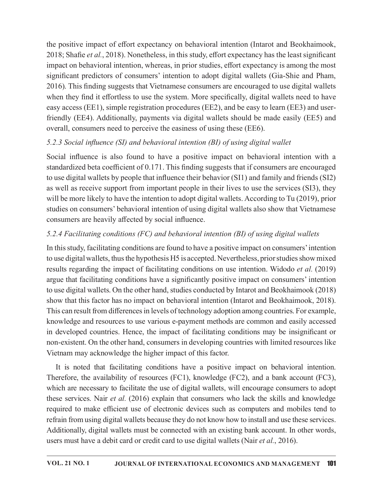the positive impact of effort expectancy on behavioral intention (Intarot and Beokhaimook, 2018; Shafie et al., 2018). Nonetheless, in this study, effort expectancy has the least significant impact on behavioral intention, whereas, in prior studies, effort expectancy is among the most significant predictors of consumers' intention to adopt digital wallets (Gia-Shie and Pham, 2016). This finding suggests that Vietnamese consumers are encouraged to use digital wallets when they find it effortless to use the system. More specifically, digital wallets need to have easy access (EE1), simple registration procedures (EE2), and be easy to learn (EE3) and userfriendly (EE4). Additionally, payments via digital wallets should be made easily (EE5) and overall, consumers need to perceive the easiness of using these (EE6).

# 5.2.3 Social influence (SI) and behavioral intention (BI) of using digital wallet

Social influence is also found to have a positive impact on behavioral intention with a standardized beta coefficient of 0.171. This finding suggests that if consumers are encouraged to use digital wallets by people that influence their behavior (SI1) and family and friends (SI2) as well as receive support from important people in their lives to use the services (SI3), they will be more likely to have the intention to adopt digital wallets. According to Tu (2019), prior studies on consumers' behavioral intention of using digital wallets also show that Vietnamese consumers are heavily affected by social influence.

# 5.2.4 Facilitating conditions (FC) and behavioral intention (BI) of using digital wallets

In this study, facilitating conditions are found to have a positive impact on consumers' intention to use digital wallets, thus the hypothesis H5 is accepted. Nevertheless, prior studies show mixed results regarding the impact of facilitating conditions on use intention. Widodo *et al.* (2019) argue that facilitating conditions have a significantly positive impact on consumers' intention to use digital wallets. On the other hand, studies conducted by Intarot and Beokhaimook (2018) show that this factor has no impact on behavioral intention (Intarot and Beokhaimook, 2018). This can result from differences in levels of technology adoption among countries. For example, knowledge and resources to use various e-payment methods are common and easily accessed in developed countries. Hence, the impact of facilitating conditions may be insignificant or non-existent. On the other hand, consumers in developing countries with limited resources like Vietnam may acknowledge the higher impact of this factor.

It is noted that facilitating conditions have a positive impact on behavioral intention. Therefore, the availability of resources (FC1), knowledge (FC2), and a bank account (FC3), which are necessary to facilitate the use of digital wallets, will encourage consumers to adopt these services. Nair *et al.* (2016) explain that consumers who lack the skills and knowledge required to make efficient use of electronic devices such as computers and mobiles tend to refrain from using digital wallets because they do not know how to install and use these services. Additionally, digital wallets must be connected with an existing bank account. In other words, users must have a debit card or credit card to use digital wallets (Nair *et al.*, 2016).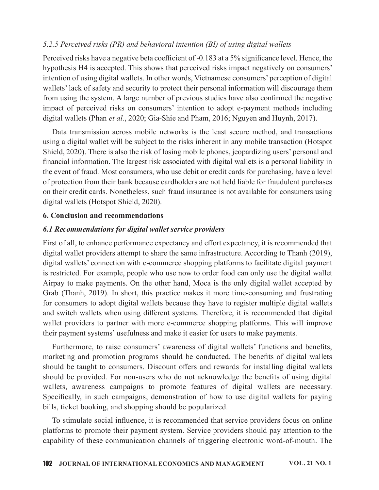#### 5.2.5 Perceived risks (PR) and behavioral intention (BI) of using digital wallets

Perceived risks have a negative beta coefficient of -0.183 at a 5% significance level. Hence, the hypothesis H4 is accepted. This shows that perceived risks impact negatively on consumers' intention of using digital wallets. In other words, Vietnamese consumers' perception of digital wallets' lack of safety and security to protect their personal information will discourage them from using the system. A large number of previous studies have also confirmed the negative 5.2.5 Perceived risks (PR) and behavioral intention (BI) of using digital wallets<br>Perceived risks have a negative beta coefficient of -0.183 at a 5% significance level. Hence, the<br>hypothesis H4 is accepted. This shows tha digital wallets (Phan et al., 2020; Gia-Shie and Pham, 2016; Nguyen and Huynh, 2017).

Data transmission across mobile networks is the least secure method, and transactions using a digital wallet will be subject to the risks inherent in any mobile transaction (Hotspot Shield, 2020). There is also the risk of losing mobile phones, jeopardizing users' personal and financial information. The largest risk associated with digital wallets is a personal liability in the event of fraud. Most consumers, who use debit or credit cards for purchasing, have a level of protection from their bank because cardholders are not held liable for fraudulent purchases on their credit cards. Nonetheless, such fraud insurance is not available for consumers using digital wallets (Hotspot Shield, 2020).

#### 6. Conclusion and recommendations

#### 6.1 Recommendations for digital wallet service providers

First of all, to enhance performance expectancy and effort expectancy, it is recommended that digital wallet providers attempt to share the same infrastructure. According to Thanh (2019), digital wallets' connection with e-commerce shopping platforms to facilitate digital payment is restricted. For example, people who use now to order food can only use the digital wallet Airpay to make payments. On the other hand, Moca is the only digital wallet accepted by Grab (Thanh, 2019). In short, this practice makes it more time-consuming and frustrating for consumers to adopt digital wallets because they have to register multiple digital wallets and switch wallets when using different systems. Therefore, it is recommended that digital wallet providers to partner with more e-commerce shopping platforms. This will improve their payment systems' usefulness and make it easier for users to make payments.

Furthermore, to raise consumers' awareness of digital wallets' functions and benefits, marketing and promotion programs should be conducted. The benefits of digital wallets should be taught to consumers. Discount offers and rewards for installing digital wallets should be provided. For non-users who do not acknowledge the benefits of using digital wallets, awareness campaigns to promote features of digital wallets are necessary. Specifically, in such campaigns, demonstration of how to use digital wallets for paying bills, ticket booking, and shopping should be popularized.

To stimulate social influence, it is recommended that service providers focus on online platforms to promote their payment system. Service providers should pay attention to the capability of these communication channels of triggering electronic word-of-mouth. The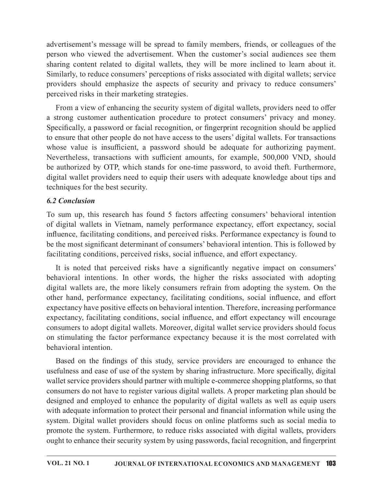advertisement's message will be spread to family members, friends, or colleagues of the person who viewed the advertisement. When the customer's social audiences see them sharing content related to digital wallets, they will be more inclined to learn about it. Similarly, to reduce consumers' perceptions of risks associated with digital wallets; service advertisement's message will be spread to family members, friends, or colleagues of the person who viewed the advertisement. When the customer's social audiences see them sharing content related to digital wallets, they wi perceived risks in their marketing strategies.

From a view of enhancing the security system of digital wallets, providers need to offer advertisement's message will be spread to family members, friends, or colleagues of the person who viewed the advertisement. When the customer's social audiences see them sharing content related to digital wallsts, they wi Specifically, a password or facial recognition, or fingerprint recognition should be applied to ensure that other people do not have access to the users' digital wallets. For transactions whose value is insufficient, a password should be adequate for authorizing payment. Nevertheless, transactions with sufficient amounts, for example, 500,000 VND, should be authorized by OTP, which stands for one-time password, to avoid theft. Furthermore, digital wallet providers need to equip their users with adequate knowledge about tips and techniques for the best security.

### **6.2 Conclusion**

To sum up, this research has found 5 factors affecting consumers' behavioral intention of digital wallets in Vietnam, namely performance expectancy, effort expectancy, social influence, facilitating conditions, and perceived risks. Performance expectancy is found to be the most significant determinant of consumers' behavioral intention. This is followed by facilitating conditions, perceived risks, social influence, and effort expectancy.

It is noted that perceived risks have a significantly negative impact on consumers' behavioral intentions. In other words, the higher the risks associated with adopting digital wallets are, the more likely consumers refrain from adopting the system. On the other hand, performance expectancy, facilitating conditions, social influence, and effort expectancy have positive effects on behavioral intention. Therefore, increasing performance expectancy, facilitating conditions, social influence, and effort expectancy will encourage consumers to adopt digital wallets. Moreover, digital wallet service providers should focus techniques for the best security.<br>
6.2 Conclusion<br>
To sum up, this research has found 5 factors affecting consumers' behavioral intention<br>
of digital vallets in Vietnam, namely performance expectancy, effort expectancy, so behavioral intention. sum up, this research has found 5 factors affecting consumers' behavioral intention digital wallets in Vietnam, namely performance expectancy, effort expectancy, social tuence, facilitating conditions, and perceived risks.

usefulness and ease of use of the system by sharing infrastructure. More specifically, digital wallet service providers should partner with multiple e-commerce shopping platforms, so that consumers do not have to register various digital wallets. A proper marketing plan should be facilitating conditions, perceived risks, social influence, and effort expectancy.<br>It is noted that perceived risks have a significantly negative impact on consumers'<br>behavioral intentions. In other words, the higher the r with adequate information to protect their personal and financial information while using the system. Digital wallet providers should focus on online platforms such as social media to promote the system. Furthermore, to reduce risks associated with digital wallets, providers ought to enhance their security system by using passwords, facial recognition, and fingerprint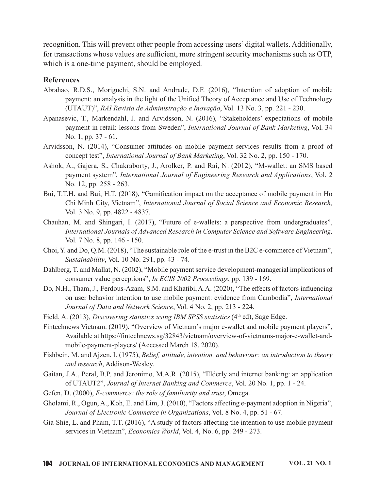recognition. This will prevent other people from accessing users' digital wallets. Additionally, for transactions whose values are sufficient, more stringent security mechanisms such as OTP, which is a one-time payment, should be employed.

#### References

- Abrahao, R.D.S., Moriguchi, S.N. and Andrade, D.F. (2016), "Intention of adoption of mobile payment: an analysis in the light of the Unified Theory of Acceptance and Use of Technology (UTAUT)", RAI Revista de Administração e Inovação, Vol. 13 No. 3, pp. 221 - 230.
- Apanasevic, T., Markendahl, J. and Arvidsson, N. (2016), "Stakeholders' expectations of mobile payment in retail: lessons from Sweden", International Journal of Bank Marketing, Vol. 34 No. 1, pp. 37 - 61.
- Arvidsson, N. (2014), "Consumer attitudes on mobile payment services–results from a proof of concept test", International Journal of Bank Marketing, Vol. 32 No. 2, pp. 150 - 170.
- Ashok, A., Gajera, S., Chakraborty, J., Arolker, P. and Rai, N. (2012), "M-wallet: an SMS based payment system", International Journal of Engineering Research and Applications, Vol. 2 No. 12, pp. 258 - 263.
- Bui, T.T.H. and Bui, H.T. (2018), "Gamification impact on the acceptance of mobile payment in Ho Chi Minh City, Vietnam", International Journal of Social Science and Economic Research, Vol. 3 No. 9, pp. 4822 - 4837.
- Chauhan, M. and Shingari, I. (2017), "Future of e-wallets: a perspective from undergraduates", International Journals of Advanced Research in Computer Science and Software Engineering, Vol. 7 No. 8, pp. 146 - 150.
- Choi,Y. and Do, Q.M. (2018), "The sustainable role of the e-trust in the B2C e-commerce of Vietnam",  $Sustainability$ , Vol. 10 No. 291, pp. 43 - 74.
- Dahlberg, T. and Mallat, N. (2002), "Mobile payment service development-managerial implications of consumer value perceptions", *In ECIS 2002 Proceedings*, pp. 139 - 169.
- Do, N.H., Tham, J., Ferdous-Azam, S.M. and Khatibi, A.A. (2020), "The effects of factors influencing on user behavior intention to use mobile payment: evidence from Cambodia", International Journal of Data and Network Science, Vol. 4 No. 2, pp. 213 - 224.
- Field, A. (2013), Discovering statistics using IBM SPSS statistics ( $4<sup>th</sup>$  ed), Sage Edge.
- Fintechnews Vietnam. (2019), "Overview of Vietnam's major e-wallet and mobile payment players", Available at https://fintechnews.sg/32843/vietnam/overview-of-vietnams-major-e-wallet-andmobile-payment-players/ (Accessed March 18, 2020).
- Fishbein, M. and Ajzen, I. (1975), Belief, attitude, intention, and behaviour: an introduction to theory and research, Addison-Wesley.
- Gaitan, J.A., Peral, B.P. and Jeronimo, M.A.R. (2015), "Elderly and internet banking: an application of UTAUT2", Journal of Internet Banking and Commerce, Vol. 20 No. 1, pp. 1 - 24.
- Gefen, D. (2000), *E-commerce: the role of familiarity and trust*, Omega.
- Gholami, R., Ogun, A., Koh, E. and Lim, J. (2010), "Factors a൵ecting e-payment adoption in Nigeria", Journal of Electronic Commerce in Organizations, Vol. 8 No. 4, pp. 51 - 67.
- Gia-Shie, L. and Pham, T.T. (2016), "A study of factors affecting the intention to use mobile payment services in Vietnam", *Economics World*, Vol. 4, No. 6, pp. 249 - 273.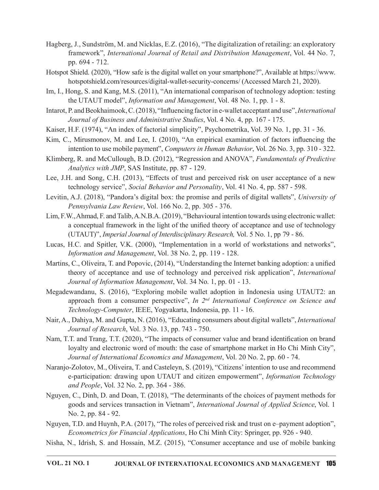- Hagberg, J., Sundström, M. and Nicklas, E.Z. (2016), "The digitalization of retailing: an exploratory framework", International Journal of Retail and Distribution Management, Vol. 44 No. 7, pp. 694 - 712.
- Hotspot Shield. (2020), "How safe is the digital wallet on your smartphone?", Available at https://www. hotspotshield.com/resources/digital-wallet-security-concerns/ (Accessed March 21, 2020).
- Im, I., Hong, S. and Kang, M.S. (2011), "An international comparison of technology adoption: testing the UTAUT model", *Information and Management*, Vol. 48 No. 1, pp. 1 - 8.
- Intarot, P. and Beokhaimook, C. (2018), "Influencing factor in e-wallet acceptant and use", *International* Journal of Business and Administrative Studies, Vol. 4 No. 4, pp. 167 - 175.
- Kaiser, H.F. (1974), "An index of factorial simplicity", Psychometrika, Vol. 39 No. 1, pp. 31 36.
- Kim, C., Mirusmonov, M. and Lee, I. (2010), "An empirical examination of factors influencing the intention to use mobile payment", Computers in Human Behavior, Vol. 26 No. 3, pp. 310 - 322.
- Klimberg, R. and McCullough, B.D. (2012), "Regression and ANOVA", *Fundamentals of Predictive* Analytics with JMP, SAS Institute, pp. 87 - 129.
- Lee, J.H. and Song, C.H. (2013), "Effects of trust and perceived risk on user acceptance of a new technology service", Social Behavior and Personality, Vol. 41 No. 4, pp. 587 - 598.
- Levitin, A.J. (2018), "Pandora's digital box: the promise and perils of digital wallets", University of Pennsylvania Law Review, Vol. 166 No. 2, pp. 305 - 376.
- Lim, F.W., Ahmad, F. and Talib, A.N.B.A. (2019), "Behavioural intention towards using electronic wallet: a conceptual framework in the light of the unified theory of acceptance and use of technology (UTAUT)", Imperial Journal of Interdisciplinary Research, Vol. 5 No. 1, pp 79 - 86. methom to use mobile payment", Computers in Human Behavior, Vol. 26 No. 3, pp. 310 - 322.<br>
rg., R. and McCullough, B.D. (2012), "Regression and ANOVA", *Fundamentals of Predictive*<br> *Analytics with JMP*, SAS Institute, pp
- Lucas, H.C. and Spitler, V.K. (2000), "Implementation in a world of workstations and networks", Information and Management, Vol. 38 No. 2, pp. 119 - 128.
- Martins, C., Oliveira, T. and Popovic, (2014), "Understanding the Internet banking adoption: a unified theory of acceptance and use of technology and perceived risk application", *International* Journal of Information Management, Vol. 34 No. 1, pp. 01 - 13.
- Megadewandanu, S. (2016), "Exploring mobile wallet adoption in Indonesia using UTAUT2: an Technology-Computer, IEEE, Yogyakarta, Indonesia, pp. 11 - 16.
- Nair, A., Dahiya, M. and Gupta, N. (2016), "Educating consumers about digital wallets", *International* Journal of Research, Vol. 3 No. 13, pp. 743 - 750.
- Nam, T.T. and Trang, T.T. (2020), "The impacts of consumer value and brand identification on brand loyalty and electronic word of mouth: the case of smartphone market in Ho Chi Minh City", Journal of International Economics and Management, Vol. 20 No. 2, pp. 60 - 74.
- Naranjo-Zolotov, M., Oliveira, T. and Casteleyn, S. (2019), "Citizens' intention to use and recommend e-participation: drawing upon UTAUT and citizen empowerment", Information Technology and People, Vol. 32 No. 2, pp. 364 - 386.
- Nguyen, C., Dinh, D. and Doan, T. (2018),"The determinants of the choices of payment methods for goods and services transaction in Vietnam", International Journal of Applied Science, Vol. 1 No. 2, pp. 84 - 92.
- Nguyen, T.D. and Huynh, P.A. (2017), "The roles of perceived risk and trust on e–payment adoption", Econometrics for Financial Applications, Ho Chi Minh City: Springer, pp. 926 - 940.
- Nisha, N., Idrish, S. and Hossain, M.Z. (2015), "Consumer acceptance and use of mobile banking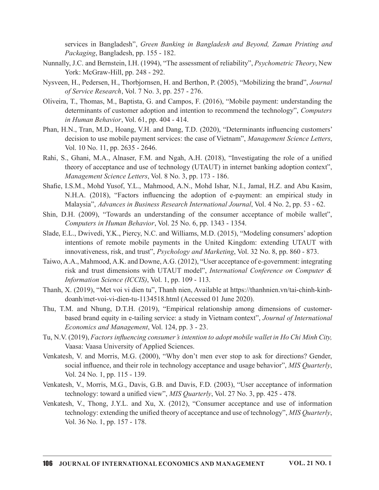Packaging, Bangladesh, pp. 155 - 182.

- services in Bangladesh", *Green Banking in Bangladesh and Beyond*, *Zaman Printing and Packaging*, Bangladesh, pp. 155 182.<br>Uy, J.C. and Bernstein, I.H. (1994), "The assessment of reliability", *Psychometric Theory*, New Nunnally, J.C. and Bernstein, I.H. (1994), "The assessment of reliability", *Psychometric Theory*, New York: McGraw-Hill, pp. 248 - 292.
- Nysveen, H., Pedersen, H., Thorbjornsen, H. and Berthon, P. (2005), "Mobilizing the brand", Journal of Service Research, Vol. 7 No. 3, pp. 257 - 276.
- Oliveira, T., Thomas, M., Baptista, G. and Campos, F. (2016), "Mobile payment: understanding the determinants of customer adoption and intention to recommend the technology", Computers in Human Behavior, Vol.  $61$ , pp.  $404$  -  $414$ .
- Phan, H.N., Tran, M.D., Hoang, V.H. and Dang, T.D. (2020), "Determinants influencing customers' decision to use mobile payment services: the case of Vietnam", Management Science Letters, Vol. 10 No. 11, pp. 2635 - 2646. in Himan Behavior, Vol. 61, pp. 404 - 414.<br>
LN., Tran, M.D., Hong, T.D. (2020), "Determinants influencing customers'<br>
decision to use mobile payment services: the case of Vietnam", *Management Science Letters*,<br>
Vol. 10 No
- Rahi, S., Ghani, M.A., Alnaser, F.M. and Ngah, A.H. (2018), "Investigating the role of a unified theory of acceptance and use of technology (UTAUT) in internet banking adoption context", Management Science Letters, Vol. 8 No. 3, pp. 173 - 186.
- Shafie, I.S.M., Mohd Yusof, Y.L., Mahmood, A.N., Mohd Ishar, N.I., Jamal, H.Z. and Abu Kasim, N.H.A. (2018), "Factors influencing the adoption of e-payment: an empirical study in Malaysia", Advances in Business Research International Journal, Vol. 4 No. 2, pp. 53 - 62.
- Shin, D.H. (2009), "Towards an understanding of the consumer acceptance of mobile wallet", Computers in Human Behavior, Vol. 25 No. 6, pp. 1343 - 1354.
- Slade, E.L., Dwivedi, Y.K., Piercy, N.C. and Williams, M.D. (2015), "Modeling consumers' adoption intentions of remote mobile payments in the United Kingdom: extending UTAUT with innovativeness, risk, and trust", Psychology and Marketing, Vol. 32 No. 8, pp. 860 - 873.
- Taiwo,A.A., Mahmood, A.K. and Downe,A.G. (2012), "User acceptance of e-government: integrating Information Science (ICCIS), Vol. 1, pp. 109 - 113.
- Thanh, X. (2019), "Met voi vi dien tu", Thanh nien, Available at https://thanhnien.vn/tai-chinh-kinhdoanh/met-voi-vi-dien-tu-1134518.html (Accessed 01 June 2020).
- Thu, T.M. and Nhung, D.T.H. (2019), "Empirical relationship among dimensions of customerbased brand equity in e-tailing service: a study in Vietnam context", Journal of International Economics and Management, Vol. 124, pp. 3 - 23.
- Tu, N.V. (2019), Factors influencing consumer's intention to adopt mobile wallet in Ho Chi Minh City, Vaasa: Vaasa University of Applied Sciences.
- Venkatesh, V. and Morris, M.G. (2000), "Why don't men ever stop to ask for directions? Gender, social influence, and their role in technology acceptance and usage behavior", MIS Quarterly, Vol. 24 No. 1, pp. 115 - 139.
- Venkatesh, V., Morris, M.G., Davis, G.B. and Davis, F.D. (2003), "User acceptance of information technology: toward a unified view",  $MIS$  Quarterly, Vol. 27 No. 3, pp. 425 - 478.
- Venkatesh, V., Thong, J.Y.L. and Xu, X. (2012), "Consumer acceptance and use of information technology: extending the unified theory of acceptance and use of technology",  $MIS$  Quarterly, Vol. 36 No. 1, pp. 157 - 178.